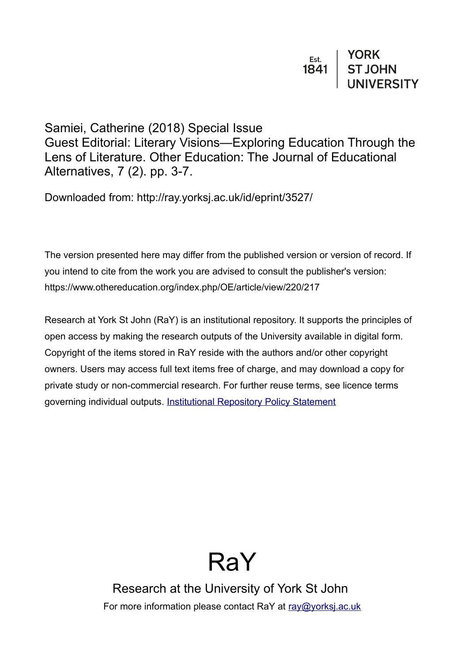

## Samiei, Catherine (2018) Special Issue

Guest Editorial: Literary Visions—Exploring Education Through the Lens of Literature. Other Education: The Journal of Educational Alternatives, 7 (2). pp. 3-7.

Downloaded from: http://ray.yorksj.ac.uk/id/eprint/3527/

The version presented here may differ from the published version or version of record. If you intend to cite from the work you are advised to consult the publisher's version: https://www.othereducation.org/index.php/OE/article/view/220/217

Research at York St John (RaY) is an institutional repository. It supports the principles of open access by making the research outputs of the University available in digital form. Copyright of the items stored in RaY reside with the authors and/or other copyright owners. Users may access full text items free of charge, and may download a copy for private study or non-commercial research. For further reuse terms, see licence terms governing individual outputs. [Institutional Repository Policy Statement](https://www.yorksj.ac.uk/ils/repository-policies/)

## RaY

Research at the University of York St John For more information please contact RaY at [ray@yorksj.ac.uk](mailto:ray@yorksj.ac.uk)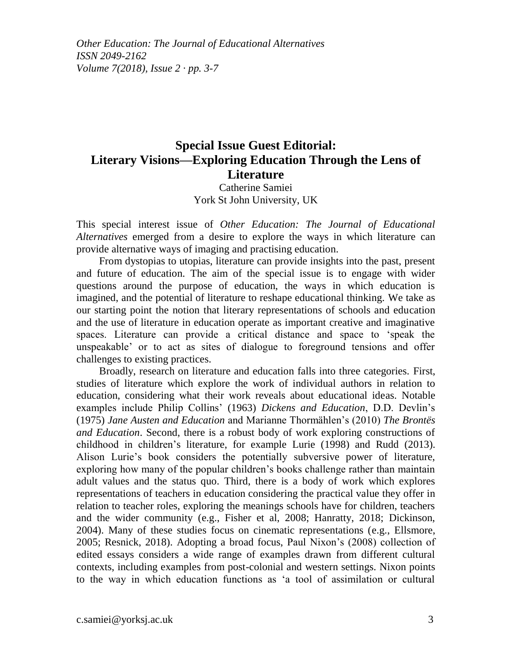*Other Education: The Journal of Educational Alternatives ISSN 2049-2162 Volume 7(2018), Issue 2 · pp. 3-7*

## **Special Issue Guest Editorial: Literary Visions—Exploring Education Through the Lens of Literature**

Catherine Samiei York St John University, UK

This special interest issue of *Other Education: The Journal of Educational Alternatives* emerged from a desire to explore the ways in which literature can provide alternative ways of imaging and practising education.

From dystopias to utopias, literature can provide insights into the past, present and future of education. The aim of the special issue is to engage with wider questions around the purpose of education, the ways in which education is imagined, and the potential of literature to reshape educational thinking. We take as our starting point the notion that literary representations of schools and education and the use of literature in education operate as important creative and imaginative spaces. Literature can provide a critical distance and space to 'speak the unspeakable' or to act as sites of dialogue to foreground tensions and offer challenges to existing practices.

Broadly, research on literature and education falls into three categories. First, studies of literature which explore the work of individual authors in relation to education, considering what their work reveals about educational ideas. Notable examples include Philip Collins' (1963) *Dickens and Education*, D.D. Devlin's (1975) *Jane Austen and Education* and Marianne Thormӓhlen's (2010) *The Brontës and Education*. Second, there is a robust body of work exploring constructions of childhood in children's literature, for example Lurie (1998) and Rudd (2013). Alison Lurie's book considers the potentially subversive power of literature, exploring how many of the popular children's books challenge rather than maintain adult values and the status quo. Third, there is a body of work which explores representations of teachers in education considering the practical value they offer in relation to teacher roles, exploring the meanings schools have for children, teachers and the wider community (e.g., Fisher et al, 2008; Hanratty, 2018; Dickinson, 2004). Many of these studies focus on cinematic representations (e.g., Ellsmore, 2005; Resnick, 2018). Adopting a broad focus, Paul Nixon's (2008) collection of edited essays considers a wide range of examples drawn from different cultural contexts, including examples from post-colonial and western settings. Nixon points to the way in which education functions as 'a tool of assimilation or cultural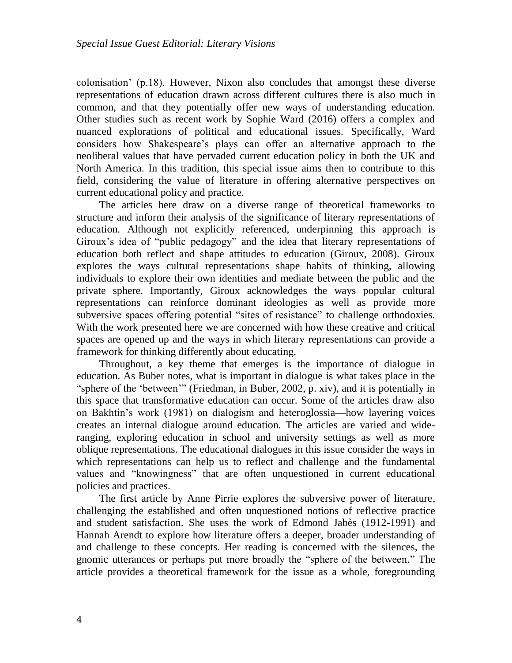colonisation' (p.18). However, Nixon also concludes that amongst these diverse representations of education drawn across different cultures there is also much in common, and that they potentially offer new ways of understanding education. Other studies such as recent work by Sophie Ward (2016) offers a complex and nuanced explorations of political and educational issues. Specifically, Ward considers how Shakespeare's plays can offer an alternative approach to the neoliberal values that have pervaded current education policy in both the UK and North America. In this tradition, this special issue aims then to contribute to this field, considering the value of literature in offering alternative perspectives on current educational policy and practice.

The articles here draw on a diverse range of theoretical frameworks to structure and inform their analysis of the significance of literary representations of education. Although not explicitly referenced, underpinning this approach is Giroux's idea of "public pedagogy" and the idea that literary representations of education both reflect and shape attitudes to education (Giroux, 2008). Giroux explores the ways cultural representations shape habits of thinking, allowing individuals to explore their own identities and mediate between the public and the private sphere. Importantly, Giroux acknowledges the ways popular cultural representations can reinforce dominant ideologies as well as provide more subversive spaces offering potential "sites of resistance" to challenge orthodoxies. With the work presented here we are concerned with how these creative and critical spaces are opened up and the ways in which literary representations can provide a framework for thinking differently about educating.

Throughout, a key theme that emerges is the importance of dialogue in education. As Buber notes, what is important in dialogue is what takes place in the "sphere of the 'between'" (Friedman, in Buber, 2002, p. xiv), and it is potentially in this space that transformative education can occur. Some of the articles draw also on Bakhtin's work (1981) on dialogism and heteroglossia—how layering voices creates an internal dialogue around education. The articles are varied and wideranging, exploring education in school and university settings as well as more oblique representations. The educational dialogues in this issue consider the ways in which representations can help us to reflect and challenge and the fundamental values and "knowingness" that are often unquestioned in current educational policies and practices.

The first article by Anne Pirrie explores the subversive power of literature, challenging the established and often unquestioned notions of reflective practice and student satisfaction. She uses the work of Edmond Jabès (1912-1991) and Hannah Arendt to explore how literature offers a deeper, broader understanding of and challenge to these concepts. Her reading is concerned with the silences, the gnomic utterances or perhaps put more broadly the "sphere of the between." The article provides a theoretical framework for the issue as a whole, foregrounding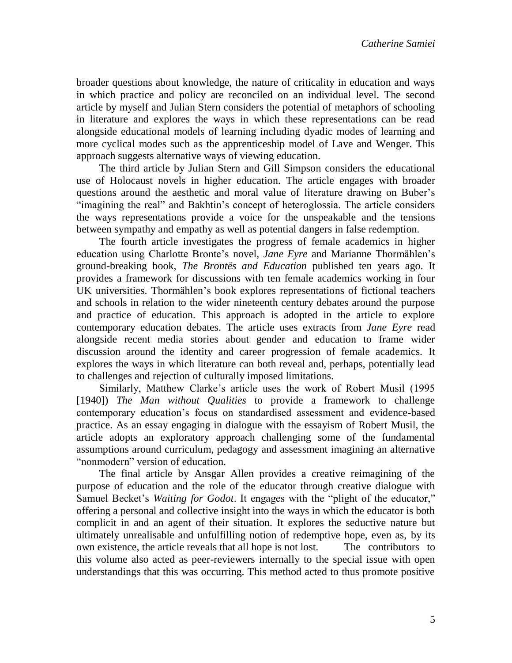broader questions about knowledge, the nature of criticality in education and ways in which practice and policy are reconciled on an individual level. The second article by myself and Julian Stern considers the potential of metaphors of schooling in literature and explores the ways in which these representations can be read alongside educational models of learning including dyadic modes of learning and more cyclical modes such as the apprenticeship model of Lave and Wenger. This approach suggests alternative ways of viewing education.

The third article by Julian Stern and Gill Simpson considers the educational use of Holocaust novels in higher education. The article engages with broader questions around the aesthetic and moral value of literature drawing on Buber's "imagining the real" and Bakhtin's concept of heteroglossia. The article considers the ways representations provide a voice for the unspeakable and the tensions between sympathy and empathy as well as potential dangers in false redemption.

The fourth article investigates the progress of female academics in higher education using Charlotte Bronte's novel, *Jane Eyre* and Marianne Thormählen's ground-breaking book, *The Brontës and Education* published ten years ago. It provides a framework for discussions with ten female academics working in four UK universities. Thormählen's book explores representations of fictional teachers and schools in relation to the wider nineteenth century debates around the purpose and practice of education. This approach is adopted in the article to explore contemporary education debates. The article uses extracts from *Jane Eyre* read alongside recent media stories about gender and education to frame wider discussion around the identity and career progression of female academics. It explores the ways in which literature can both reveal and, perhaps, potentially lead to challenges and rejection of culturally imposed limitations.

Similarly, Matthew Clarke's article uses the work of Robert Musil (1995 [1940]) *The Man without Qualities* to provide a framework to challenge contemporary education's focus on standardised assessment and evidence-based practice. As an essay engaging in dialogue with the essayism of Robert Musil, the article adopts an exploratory approach challenging some of the fundamental assumptions around curriculum, pedagogy and assessment imagining an alternative "nonmodern" version of education.

The final article by Ansgar Allen provides a creative reimagining of the purpose of education and the role of the educator through creative dialogue with Samuel Becket's *Waiting for Godot*. It engages with the "plight of the educator," offering a personal and collective insight into the ways in which the educator is both complicit in and an agent of their situation. It explores the seductive nature but ultimately unrealisable and unfulfilling notion of redemptive hope, even as, by its own existence, the article reveals that all hope is not lost. The contributors to this volume also acted as peer-reviewers internally to the special issue with open understandings that this was occurring. This method acted to thus promote positive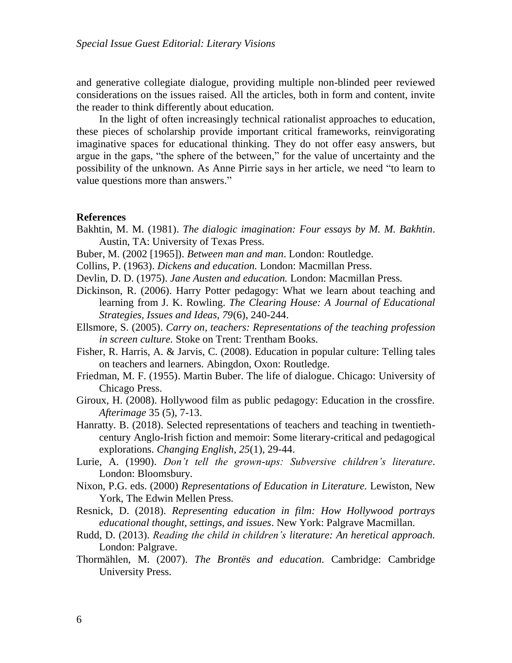and generative collegiate dialogue, providing multiple non-blinded peer reviewed considerations on the issues raised. All the articles, both in form and content, invite the reader to think differently about education.

In the light of often increasingly technical rationalist approaches to education, these pieces of scholarship provide important critical frameworks, reinvigorating imaginative spaces for educational thinking. They do not offer easy answers, but argue in the gaps, "the sphere of the between," for the value of uncertainty and the possibility of the unknown. As Anne Pirrie says in her article, we need "to learn to value questions more than answers."

## **References**

- Bakhtin, M. M. (1981). *The dialogic imagination: Four essays by M. M. Bakhtin*. Austin, TA: University of Texas Press.
- Buber, M. (2002 [1965]). *Between man and man*. London: Routledge.
- Collins, P. (1963). *Dickens and education.* London: Macmillan Press.
- Devlin, D. D. (1975). *Jane Austen and education.* London: Macmillan Press.
- Dickinson, R. (2006). Harry Potter pedagogy: What we learn about teaching and learning from J. K. Rowling. *The Clearing House: A Journal of Educational Strategies, Issues and Ideas, 79*(6), 240-244.
- Ellsmore, S. (2005). *Carry on, teachers: Representations of the teaching profession in screen culture.* Stoke on Trent: Trentham Books.
- Fisher, R. Harris, A. & Jarvis, C. (2008). Education in popular culture: Telling tales on teachers and learners. Abingdon, Oxon: Routledge.
- Friedman, M. F. (1955). Martin Buber. The life of dialogue. Chicago: University of Chicago Press.
- Giroux, H. (2008). Hollywood film as public pedagogy: Education in the crossfire. *Afterimage* 35 (5), 7-13.
- Hanratty. B. (2018). Selected representations of teachers and teaching in twentiethcentury Anglo-Irish fiction and memoir: Some literary-critical and pedagogical explorations. *Changing English, 25*(1), 29-44.
- Lurie, A. (1990). *Don't tell the grown-ups: Subversive children's literature*. London: Bloomsbury.
- Nixon, P.G. eds. (2000) *Representations of Education in Literature.* Lewiston, New York, The Edwin Mellen Press.
- Resnick, D. (2018). *Representing education in film: How Hollywood portrays educational thought, settings, and issues*. New York: Palgrave Macmillan.
- Rudd, D. (2013). *Reading the child in children's literature: An heretical approach.* London: Palgrave.
- Thormählen, M. (2007). *The Brontës and education.* Cambridge: Cambridge University Press.